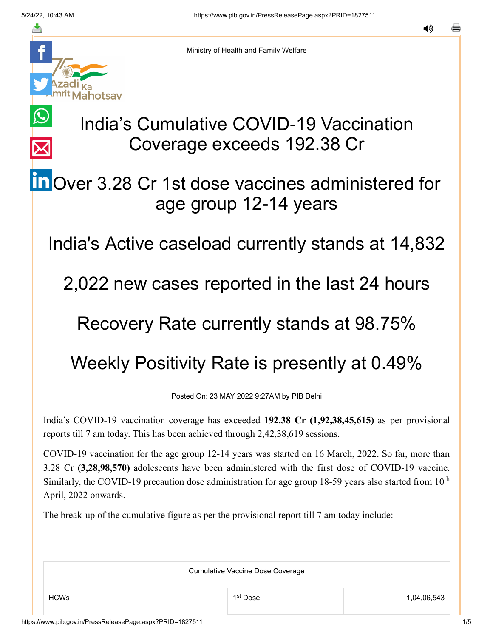$\bigcirc$ 

 $\overline{\times}$ 



Ministry of Health and Family Welfare

## India's Cumulative COVID-19 Vaccination Coverage exceeds 192.38 Cr

## **in** [O](https://www.linkedin.com/shareArticle?mini=true&url=https://pib.gov.in/PressReleasePage.aspx?PRID=1827511&title=India%E2%80%99s%20Cumulative%20COVID-19%20Vaccination%20Coverage%20exceeds%20192.38%20Cr&summary=My%20favorite%20developer%20program&source=LinkedIn)ver 3.28 Cr 1st dose vaccines administered for age group 12-14 years

India's Active caseload currently stands at 14,832

2,022 new cases reported in the last 24 hours

## Recovery Rate currently stands at 98.75%

## Weekly Positivity Rate is presently at 0.49%

Posted On: 23 MAY 2022 9:27AM by PIB Delhi

India's COVID-19 vaccination coverage has exceeded **192.38 Cr (1,92,38,45,615)** as per provisional reports till 7 am today. This has been achieved through 2,42,38,619 sessions.

COVID-19 vaccination for the age group 12-14 years was started on 16 March, 2022. So far, more than 3.28 Cr **(3,28,98,570)** adolescents have been administered with the first dose of COVID-19 vaccine. Similarly, the COVID-19 precaution dose administration for age group 18-59 years also started from  $10<sup>th</sup>$ April, 2022 onwards.

The break-up of the cumulative figure as per the provisional report till 7 am today include:

Cumulative Vaccine Dose Coverage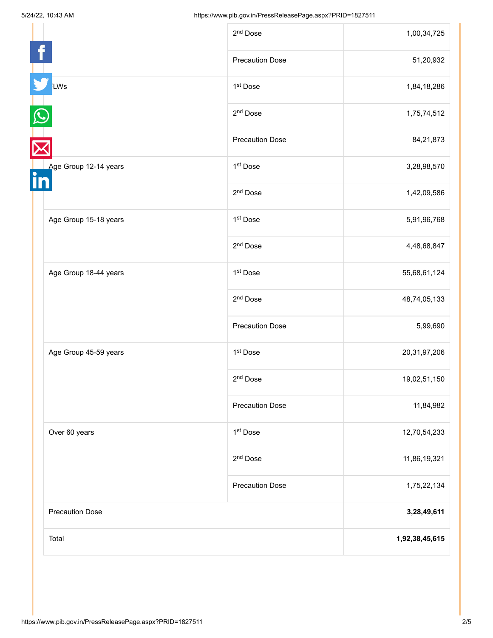| Total                  |                        | 1,92,38,45,615 |
|------------------------|------------------------|----------------|
| <b>Precaution Dose</b> |                        | 3,28,49,611    |
|                        | <b>Precaution Dose</b> | 1,75,22,134    |
|                        | 2 <sup>nd</sup> Dose   | 11,86,19,321   |
| Over 60 years          | 1st Dose               | 12,70,54,233   |
|                        | <b>Precaution Dose</b> | 11,84,982      |
|                        | $2^{\rm nd}$ Dose      | 19,02,51,150   |
| Age Group 45-59 years  | 1 <sup>st</sup> Dose   | 20,31,97,206   |
|                        | <b>Precaution Dose</b> | 5,99,690       |
|                        | 2 <sup>nd</sup> Dose   | 48,74,05,133   |
| Age Group 18-44 years  | 1st Dose               | 55,68,61,124   |
|                        | 2 <sup>nd</sup> Dose   | 4,48,68,847    |
| Age Group 15-18 years  | 1 <sup>st</sup> Dose   | 5,91,96,768    |
|                        | 2 <sup>nd</sup> Dose   | 1,42,09,586    |
| Age Group 12-14 years  | 1 <sup>st</sup> Dose   | 3,28,98,570    |
|                        | <b>Precaution Dose</b> | 84,21,873      |
|                        | 2 <sup>nd</sup> Dose   | 1,75,74,512    |
| LWs                    | 1 <sup>st</sup> Dose   | 1,84,18,286    |
|                        | <b>Precaution Dose</b> | 51,20,932      |
|                        | 2 <sup>nd</sup> Dose   | 1,00,34,725    |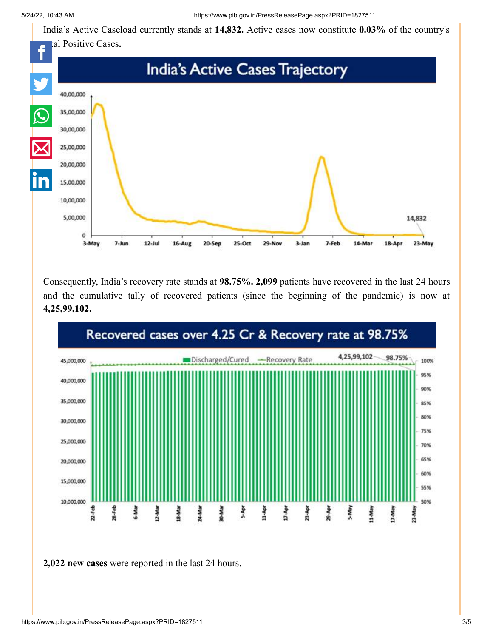India's Active Caseload currently stands at **14,832.** Active cases now constitute **0.03%** of the country's



Consequently, India's recovery rate stands at **98.75%. 2,099** patients have recovered in the last 24 hours and the cumulative tally of recovered patients (since the beginning of the pandemic) is now at **4,25,99,102.**



**2,022 new cases** were reported in the last 24 hours.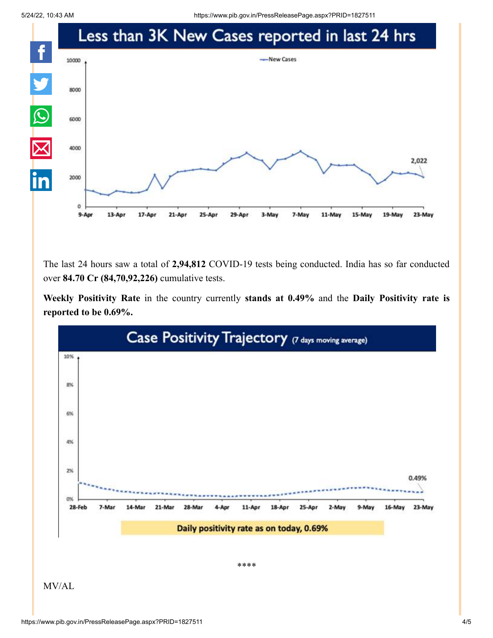5/24/22, 10:43 AM https://www.pib.gov.in/PressReleasePage.aspx?PRID=1827511



The last 24 hours saw a total of **2,94,812** COVID-19 tests being conducted. India has so far conducted over **84.70 Cr (84,70,92,226)** cumulative tests.

**Weekly Positivity Rate** in the country currently **stands at 0.49%** and the **Daily Positivity rate is reported to be 0.69%.**